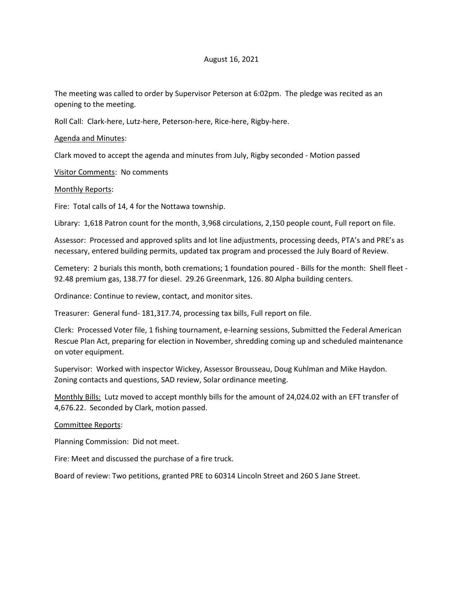## August 16, 2021

The meeting was called to order by Supervisor Peterson at 6:02pm. The pledge was recited as an opening to the meeting.

Roll Call: Clark-here, Lutz-here, Peterson-here, Rice-here, Rigby-here.

Agenda and Minutes:

Clark moved to accept the agenda and minutes from July, Rigby seconded - Motion passed

Visitor Comments: No comments

Monthly Reports:

Fire: Total calls of 14, 4 for the Nottawa township.

Library: 1,618 Patron count for the month, 3,968 circulations, 2,150 people count, Full report on file.

Assessor: Processed and approved splits and lot line adjustments, processing deeds, PTA's and PRE's as necessary, entered building permits, updated tax program and processed the July Board of Review.

Cemetery: 2 burials this month, both cremations; 1 foundation poured - Bills for the month: Shell fleet - 92.48 premium gas, 138.77 for diesel. 29.26 Greenmark, 126. 80 Alpha building centers.

Ordinance: Continue to review, contact, and monitor sites.

Treasurer: General fund- 181,317.74, processing tax bills, Full report on file.

Clerk: Processed Voter file, 1 fishing tournament, e-learning sessions, Submitted the Federal American Rescue Plan Act, preparing for election in November, shredding coming up and scheduled maintenance on voter equipment.

Supervisor: Worked with inspector Wickey, Assessor Brousseau, Doug Kuhlman and Mike Haydon. Zoning contacts and questions, SAD review, Solar ordinance meeting.

Monthly Bills: Lutz moved to accept monthly bills for the amount of 24,024.02 with an EFT transfer of 4,676.22. Seconded by Clark, motion passed.

Committee Reports:

Planning Commission: Did not meet.

Fire: Meet and discussed the purchase of a fire truck.

Board of review: Two petitions, granted PRE to 60314 Lincoln Street and 260 S Jane Street.